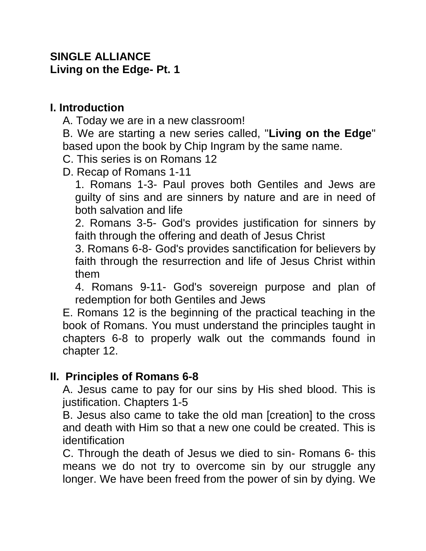### **SINGLE ALLIANCE Living on the Edge- Pt. 1**

### **I. Introduction**

A. Today we are in a new classroom!

B. We are starting a new series called, "**Living on the Edge**" based upon the book by Chip Ingram by the same name.

- C. This series is on Romans 12
- D. Recap of Romans 1-11

1. Romans 1-3- Paul proves both Gentiles and Jews are guilty of sins and are sinners by nature and are in need of both salvation and life

2. Romans 3-5- God's provides justification for sinners by faith through the offering and death of Jesus Christ

3. Romans 6-8- God's provides sanctification for believers by faith through the resurrection and life of Jesus Christ within them

4. Romans 9-11- God's sovereign purpose and plan of redemption for both Gentiles and Jews

E. Romans 12 is the beginning of the practical teaching in the book of Romans. You must understand the principles taught in chapters 6-8 to properly walk out the commands found in chapter 12.

# **II. Principles of Romans 6-8**

A. Jesus came to pay for our sins by His shed blood. This is justification. Chapters 1-5

B. Jesus also came to take the old man [creation] to the cross and death with Him so that a new one could be created. This is identification

C. Through the death of Jesus we died to sin- Romans 6- this means we do not try to overcome sin by our struggle any longer. We have been freed from the power of sin by dying. We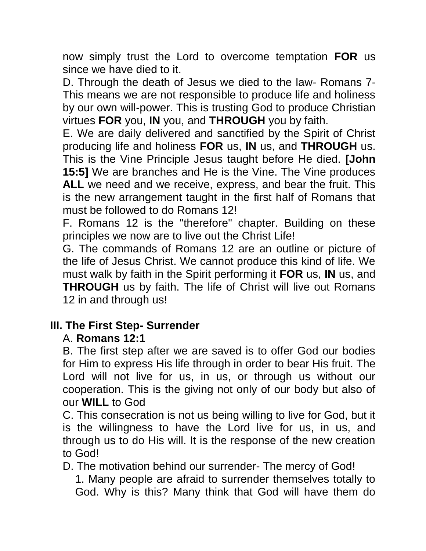now simply trust the Lord to overcome temptation **FOR** us since we have died to it.

D. Through the death of Jesus we died to the law- Romans 7- This means we are not responsible to produce life and holiness by our own will-power. This is trusting God to produce Christian virtues **FOR** you, **IN** you, and **THROUGH** you by faith.

E. We are daily delivered and sanctified by the Spirit of Christ producing life and holiness **FOR** us, **IN** us, and **THROUGH** us. This is the Vine Principle Jesus taught before He died. **[John 15:5]** We are branches and He is the Vine. The Vine produces **ALL** we need and we receive, express, and bear the fruit. This is the new arrangement taught in the first half of Romans that must be followed to do Romans 12!

F. Romans 12 is the "therefore" chapter. Building on these principles we now are to live out the Christ Life!

G. The commands of Romans 12 are an outline or picture of the life of Jesus Christ. We cannot produce this kind of life. We must walk by faith in the Spirit performing it **FOR** us, **IN** us, and **THROUGH** us by faith. The life of Christ will live out Romans 12 in and through us!

# **III. The First Step- Surrender**

# A. **Romans 12:1**

B. The first step after we are saved is to offer God our bodies for Him to express His life through in order to bear His fruit. The Lord will not live for us, in us, or through us without our cooperation. This is the giving not only of our body but also of our **WILL** to God

C. This consecration is not us being willing to live for God, but it is the willingness to have the Lord live for us, in us, and through us to do His will. It is the response of the new creation to God!

D. The motivation behind our surrender- The mercy of God!

1. Many people are afraid to surrender themselves totally to God. Why is this? Many think that God will have them do